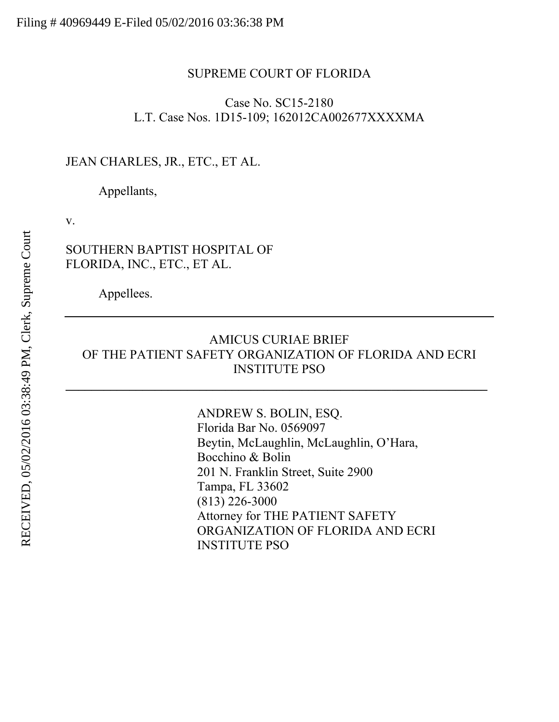#### SUPREME COURT OF FLORIDA

### Case No. SC15-2180 L.T. Case Nos. 1D15-109; 162012CA002677XXXXMA

### JEAN CHARLES, JR., ETC., ET AL.

Appellants,

v.

## SOUTHERN BAPTIST HOSPITAL OF FLORIDA, INC., ETC., ET AL.

Appellees.

## AMICUS CURIAE BRIEF OF THE PATIENT SAFETY ORGANIZATION OF FLORIDA AND ECRI INSTITUTE PSO

ANDREW S. BOLIN, ESQ. Florida Bar No. 0569097 Beytin, McLaughlin, McLaughlin, O'Hara, Bocchino & Bolin 201 N. Franklin Street, Suite 2900 Tampa, FL 33602 (813) 226-3000 Attorney for THE PATIENT SAFETY ORGANIZATION OF FLORIDA AND ECRI INSTITUTE PSO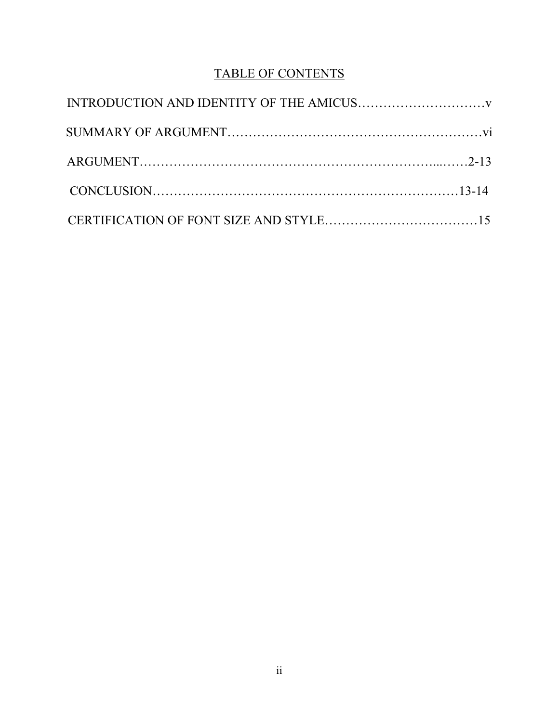## TABLE OF CONTENTS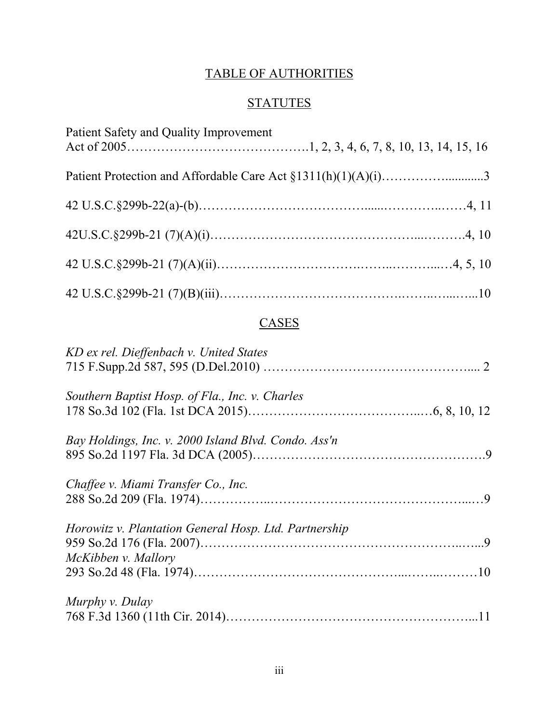## TABLE OF AUTHORITIES

# **STATUTES**

| Patient Safety and Quality Improvement |  |
|----------------------------------------|--|
|                                        |  |
|                                        |  |
|                                        |  |
|                                        |  |
|                                        |  |

## **CASES**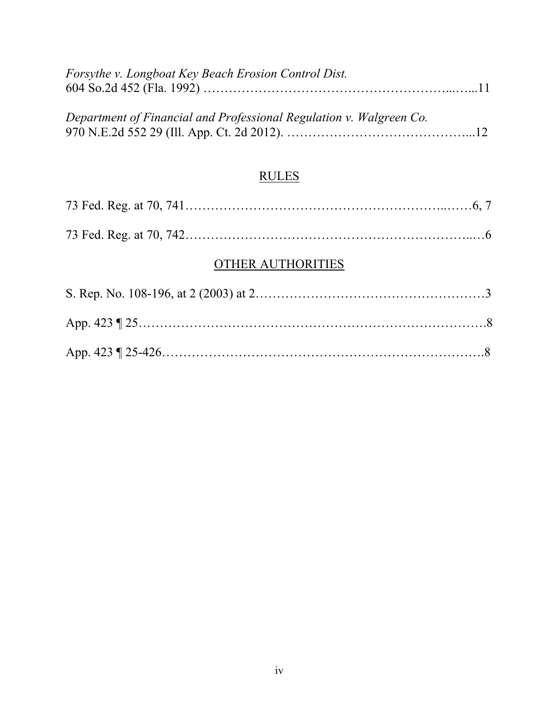| Forsythe v. Longboat Key Beach Erosion Control Dist.                |  |
|---------------------------------------------------------------------|--|
|                                                                     |  |
|                                                                     |  |
| Department of Financial and Professional Regulation v. Walgreen Co. |  |
|                                                                     |  |

## RULES

## OTHER AUTHORITIES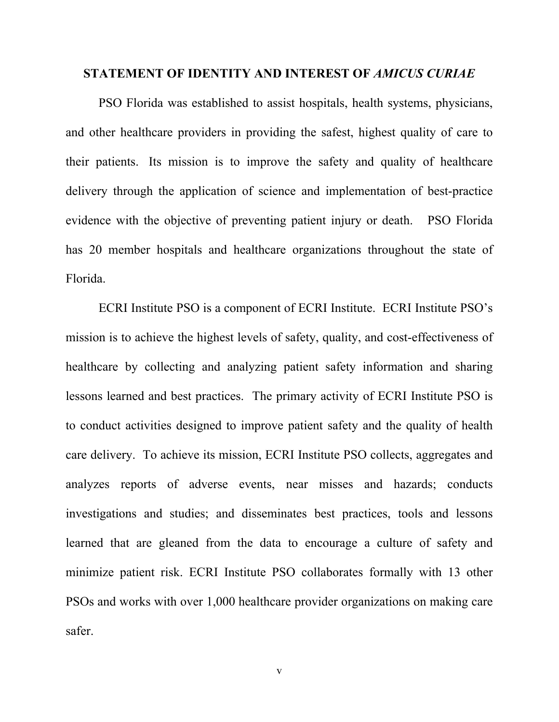#### **STATEMENT OF IDENTITY AND INTEREST OF** *AMICUS CURIAE*

PSO Florida was established to assist hospitals, health systems, physicians, and other healthcare providers in providing the safest, highest quality of care to their patients. Its mission is to improve the safety and quality of healthcare delivery through the application of science and implementation of best-practice evidence with the objective of preventing patient injury or death. PSO Florida has 20 member hospitals and healthcare organizations throughout the state of Florida.

ECRI Institute PSO is a component of ECRI Institute. ECRI Institute PSO's mission is to achieve the highest levels of safety, quality, and cost-effectiveness of healthcare by collecting and analyzing patient safety information and sharing lessons learned and best practices. The primary activity of ECRI Institute PSO is to conduct activities designed to improve patient safety and the quality of health care delivery. To achieve its mission, ECRI Institute PSO collects, aggregates and analyzes reports of adverse events, near misses and hazards; conducts investigations and studies; and disseminates best practices, tools and lessons learned that are gleaned from the data to encourage a culture of safety and minimize patient risk. ECRI Institute PSO collaborates formally with 13 other PSOs and works with over 1,000 healthcare provider organizations on making care safer.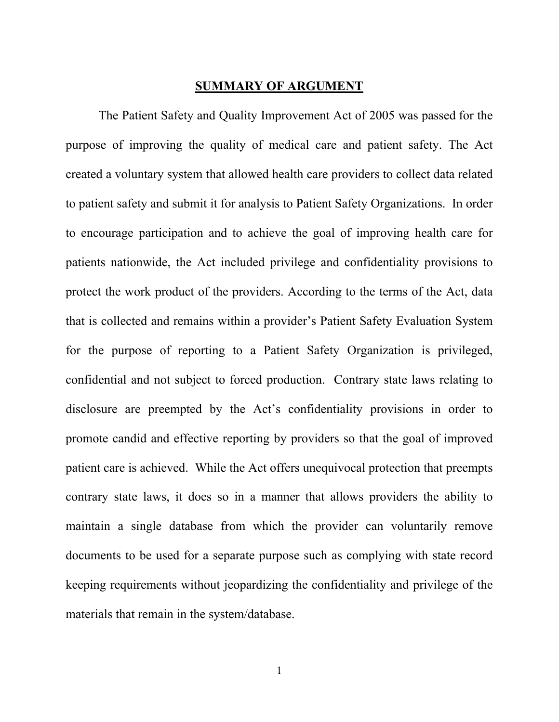#### **SUMMARY OF ARGUMENT**

The Patient Safety and Quality Improvement Act of 2005 was passed for the purpose of improving the quality of medical care and patient safety. The Act created a voluntary system that allowed health care providers to collect data related to patient safety and submit it for analysis to Patient Safety Organizations. In order to encourage participation and to achieve the goal of improving health care for patients nationwide, the Act included privilege and confidentiality provisions to protect the work product of the providers. According to the terms of the Act, data that is collected and remains within a provider's Patient Safety Evaluation System for the purpose of reporting to a Patient Safety Organization is privileged, confidential and not subject to forced production. Contrary state laws relating to disclosure are preempted by the Act's confidentiality provisions in order to promote candid and effective reporting by providers so that the goal of improved patient care is achieved. While the Act offers unequivocal protection that preempts contrary state laws, it does so in a manner that allows providers the ability to maintain a single database from which the provider can voluntarily remove documents to be used for a separate purpose such as complying with state record keeping requirements without jeopardizing the confidentiality and privilege of the materials that remain in the system/database.

1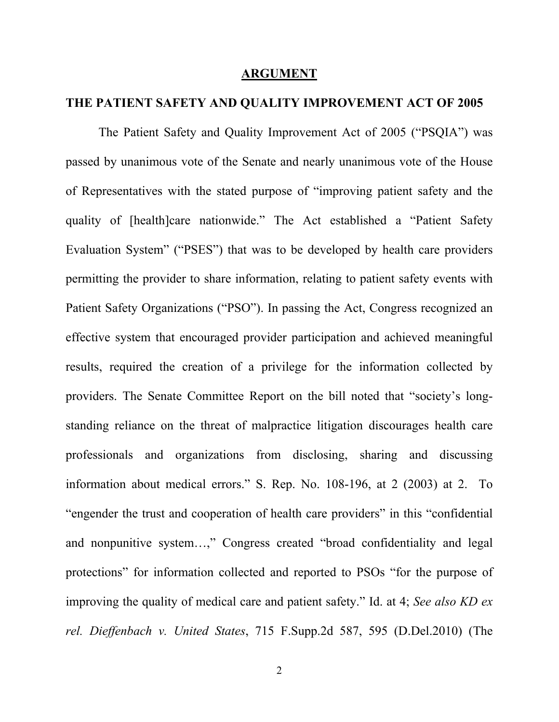#### **ARGUMENT**

## **THE PATIENT SAFETY AND QUALITY IMPROVEMENT ACT OF 2005**

The Patient Safety and Quality Improvement Act of 2005 ("PSQIA") was passed by unanimous vote of the Senate and nearly unanimous vote of the House of Representatives with the stated purpose of "improving patient safety and the quality of [health]care nationwide." The Act established a "Patient Safety Evaluation System" ("PSES") that was to be developed by health care providers permitting the provider to share information, relating to patient safety events with Patient Safety Organizations ("PSO"). In passing the Act, Congress recognized an effective system that encouraged provider participation and achieved meaningful results, required the creation of a privilege for the information collected by providers. The Senate Committee Report on the bill noted that "society's longstanding reliance on the threat of malpractice litigation discourages health care professionals and organizations from disclosing, sharing and discussing information about medical errors." S. Rep. No. 108-196, at 2 (2003) at 2. To "engender the trust and cooperation of health care providers" in this "confidential and nonpunitive system…," Congress created "broad confidentiality and legal protections" for information collected and reported to PSOs "for the purpose of improving the quality of medical care and patient safety." Id. at 4; *See also KD ex rel. Dieffenbach v. United States*, 715 F.Supp.2d 587, 595 (D.Del.2010) (The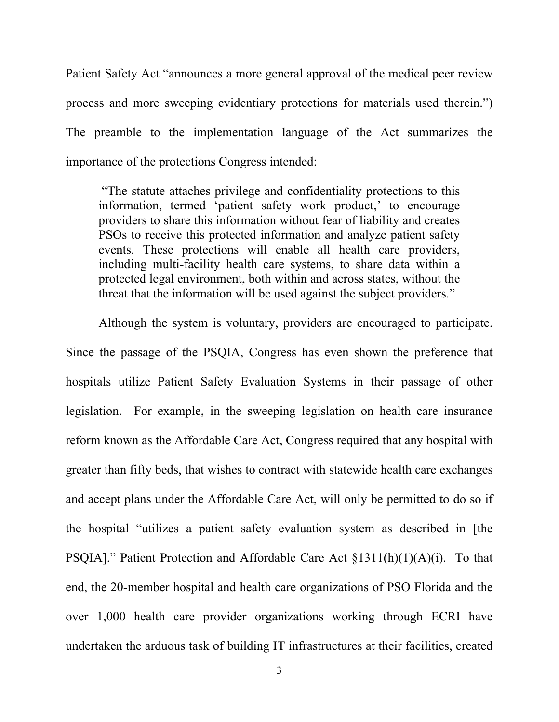Patient Safety Act "announces a more general approval of the medical peer review process and more sweeping evidentiary protections for materials used therein.") The preamble to the implementation language of the Act summarizes the importance of the protections Congress intended:

"The statute attaches privilege and confidentiality protections to this information, termed 'patient safety work product,' to encourage providers to share this information without fear of liability and creates PSOs to receive this protected information and analyze patient safety events. These protections will enable all health care providers, including multi-facility health care systems, to share data within a protected legal environment, both within and across states, without the threat that the information will be used against the subject providers."

Although the system is voluntary, providers are encouraged to participate.

Since the passage of the PSQIA, Congress has even shown the preference that hospitals utilize Patient Safety Evaluation Systems in their passage of other legislation. For example, in the sweeping legislation on health care insurance reform known as the Affordable Care Act, Congress required that any hospital with greater than fifty beds, that wishes to contract with statewide health care exchanges and accept plans under the Affordable Care Act, will only be permitted to do so if the hospital "utilizes a patient safety evaluation system as described in [the PSQIA]." Patient Protection and Affordable Care Act §1311(h)(1)(A)(i). To that end, the 20-member hospital and health care organizations of PSO Florida and the over 1,000 health care provider organizations working through ECRI have undertaken the arduous task of building IT infrastructures at their facilities, created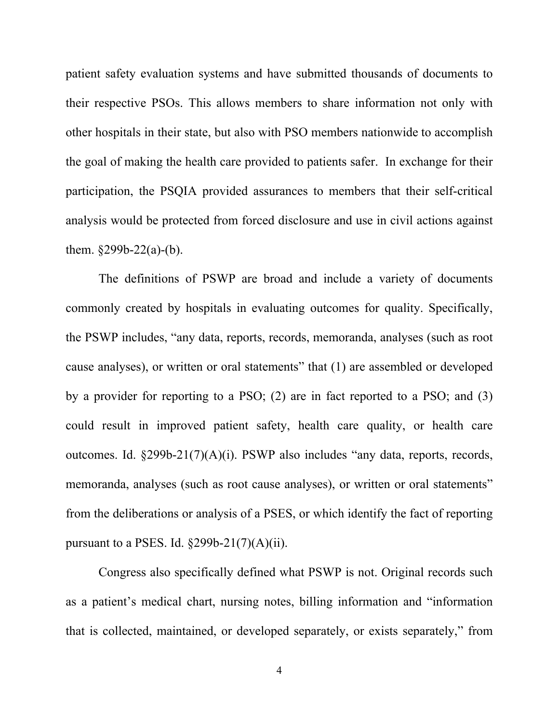patient safety evaluation systems and have submitted thousands of documents to their respective PSOs. This allows members to share information not only with other hospitals in their state, but also with PSO members nationwide to accomplish the goal of making the health care provided to patients safer. In exchange for their participation, the PSQIA provided assurances to members that their self-critical analysis would be protected from forced disclosure and use in civil actions against them.  $§299b-22(a)-(b)$ .

The definitions of PSWP are broad and include a variety of documents commonly created by hospitals in evaluating outcomes for quality. Specifically, the PSWP includes, "any data, reports, records, memoranda, analyses (such as root cause analyses), or written or oral statements" that (1) are assembled or developed by a provider for reporting to a PSO; (2) are in fact reported to a PSO; and (3) could result in improved patient safety, health care quality, or health care outcomes. Id. §299b-21(7)(A)(i). PSWP also includes "any data, reports, records, memoranda, analyses (such as root cause analyses), or written or oral statements" from the deliberations or analysis of a PSES, or which identify the fact of reporting pursuant to a PSES. Id.  $\S 299b-21(7)(A)(ii)$ .

Congress also specifically defined what PSWP is not. Original records such as a patient's medical chart, nursing notes, billing information and "information that is collected, maintained, or developed separately, or exists separately," from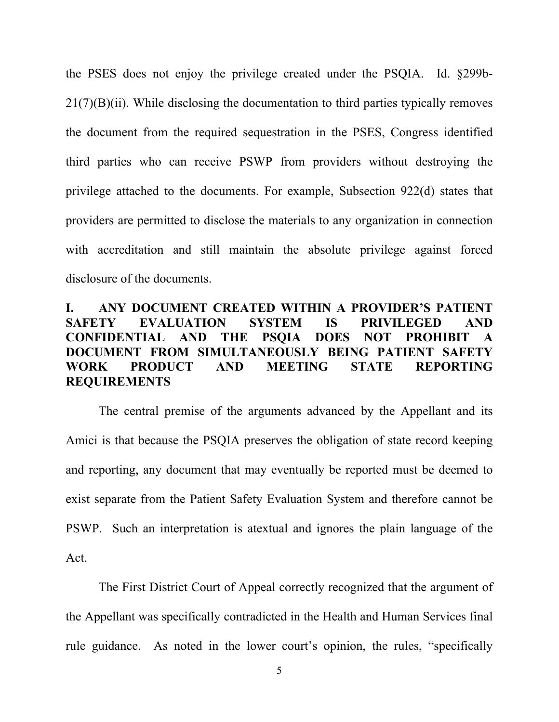the PSES does not enjoy the privilege created under the PSQIA. Id. §299b-21(7)(B)(ii). While disclosing the documentation to third parties typically removes the document from the required sequestration in the PSES, Congress identified third parties who can receive PSWP from providers without destroying the privilege attached to the documents. For example, Subsection 922(d) states that providers are permitted to disclose the materials to any organization in connection with accreditation and still maintain the absolute privilege against forced disclosure of the documents.

## **I. ANY DOCUMENT CREATED WITHIN A PROVIDER'S PATIENT SAFETY EVALUATION SYSTEM IS PRIVILEGED AND CONFIDENTIAL AND THE PSQIA DOES NOT PROHIBIT A DOCUMENT FROM SIMULTANEOUSLY BEING PATIENT SAFETY WORK PRODUCT AND MEETING STATE REPORTING REQUIREMENTS**

The central premise of the arguments advanced by the Appellant and its Amici is that because the PSQIA preserves the obligation of state record keeping and reporting, any document that may eventually be reported must be deemed to exist separate from the Patient Safety Evaluation System and therefore cannot be PSWP. Such an interpretation is atextual and ignores the plain language of the Act.

The First District Court of Appeal correctly recognized that the argument of the Appellant was specifically contradicted in the Health and Human Services final rule guidance. As noted in the lower court's opinion, the rules, "specifically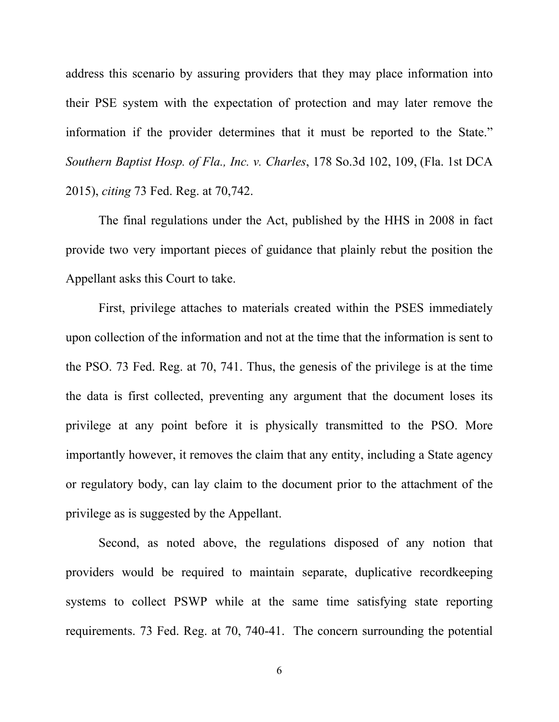address this scenario by assuring providers that they may place information into their PSE system with the expectation of protection and may later remove the information if the provider determines that it must be reported to the State." *Southern Baptist Hosp. of Fla., Inc. v. Charles*, 178 So.3d 102, 109, (Fla. 1st DCA 2015), *citing* 73 Fed. Reg. at 70,742.

The final regulations under the Act, published by the HHS in 2008 in fact provide two very important pieces of guidance that plainly rebut the position the Appellant asks this Court to take.

First, privilege attaches to materials created within the PSES immediately upon collection of the information and not at the time that the information is sent to the PSO. 73 Fed. Reg. at 70, 741. Thus, the genesis of the privilege is at the time the data is first collected, preventing any argument that the document loses its privilege at any point before it is physically transmitted to the PSO. More importantly however, it removes the claim that any entity, including a State agency or regulatory body, can lay claim to the document prior to the attachment of the privilege as is suggested by the Appellant.

Second, as noted above, the regulations disposed of any notion that providers would be required to maintain separate, duplicative recordkeeping systems to collect PSWP while at the same time satisfying state reporting requirements. 73 Fed. Reg. at 70, 740-41. The concern surrounding the potential

6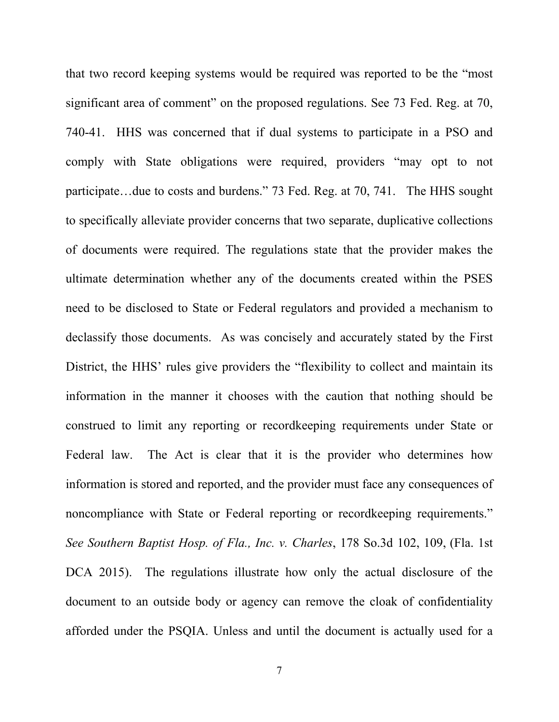that two record keeping systems would be required was reported to be the "most significant area of comment" on the proposed regulations. See 73 Fed. Reg. at 70, 740-41. HHS was concerned that if dual systems to participate in a PSO and comply with State obligations were required, providers "may opt to not participate…due to costs and burdens." 73 Fed. Reg. at 70, 741. The HHS sought to specifically alleviate provider concerns that two separate, duplicative collections of documents were required. The regulations state that the provider makes the ultimate determination whether any of the documents created within the PSES need to be disclosed to State or Federal regulators and provided a mechanism to declassify those documents. As was concisely and accurately stated by the First District, the HHS' rules give providers the "flexibility to collect and maintain its information in the manner it chooses with the caution that nothing should be construed to limit any reporting or recordkeeping requirements under State or Federal law. The Act is clear that it is the provider who determines how information is stored and reported, and the provider must face any consequences of noncompliance with State or Federal reporting or recordkeeping requirements." *See Southern Baptist Hosp. of Fla., Inc. v. Charles*, 178 So.3d 102, 109, (Fla. 1st DCA 2015). The regulations illustrate how only the actual disclosure of the document to an outside body or agency can remove the cloak of confidentiality afforded under the PSQIA. Unless and until the document is actually used for a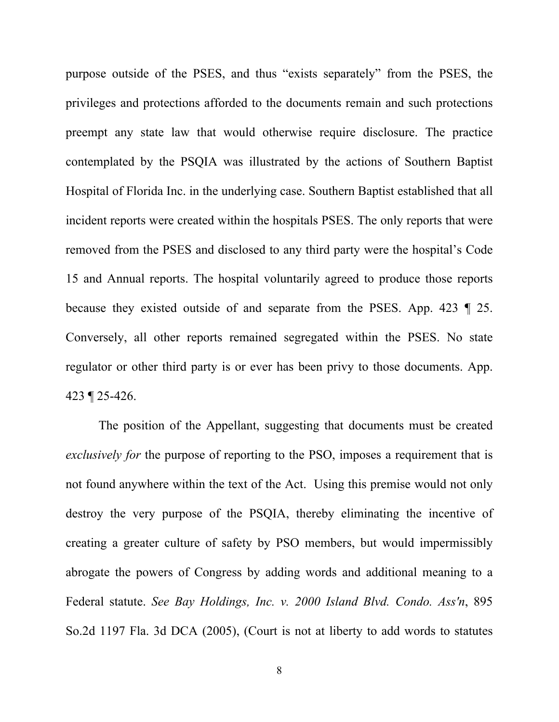purpose outside of the PSES, and thus "exists separately" from the PSES, the privileges and protections afforded to the documents remain and such protections preempt any state law that would otherwise require disclosure. The practice contemplated by the PSQIA was illustrated by the actions of Southern Baptist Hospital of Florida Inc. in the underlying case. Southern Baptist established that all incident reports were created within the hospitals PSES. The only reports that were removed from the PSES and disclosed to any third party were the hospital's Code 15 and Annual reports. The hospital voluntarily agreed to produce those reports because they existed outside of and separate from the PSES. App. 423 ¶ 25. Conversely, all other reports remained segregated within the PSES. No state regulator or other third party is or ever has been privy to those documents. App. 423 ¶ 25-426.

The position of the Appellant, suggesting that documents must be created *exclusively for* the purpose of reporting to the PSO, imposes a requirement that is not found anywhere within the text of the Act. Using this premise would not only destroy the very purpose of the PSQIA, thereby eliminating the incentive of creating a greater culture of safety by PSO members, but would impermissibly abrogate the powers of Congress by adding words and additional meaning to a Federal statute. *See Bay Holdings, Inc. v. 2000 Island Blvd. Condo. Ass'n*, 895 So.2d 1197 Fla. 3d DCA (2005), (Court is not at liberty to add words to statutes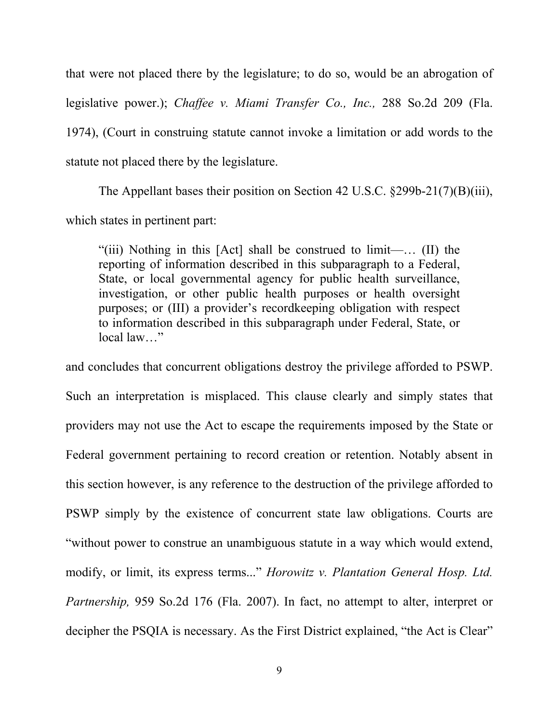that were not placed there by the legislature; to do so, would be an abrogation of legislative power.); *Chaffee v. Miami Transfer Co., Inc.,* 288 So.2d 209 (Fla. 1974), (Court in construing statute cannot invoke a limitation or add words to the statute not placed there by the legislature.

The Appellant bases their position on Section 42 U.S.C. §299b-21(7)(B)(iii), which states in pertinent part:

"(iii) Nothing in this [Act] shall be construed to limit—… (II) the reporting of information described in this subparagraph to a Federal, State, or local governmental agency for public health surveillance, investigation, or other public health purposes or health oversight purposes; or (III) a provider's recordkeeping obligation with respect to information described in this subparagraph under Federal, State, or local law…"

and concludes that concurrent obligations destroy the privilege afforded to PSWP. Such an interpretation is misplaced. This clause clearly and simply states that providers may not use the Act to escape the requirements imposed by the State or Federal government pertaining to record creation or retention. Notably absent in this section however, is any reference to the destruction of the privilege afforded to PSWP simply by the existence of concurrent state law obligations. Courts are "without power to construe an unambiguous statute in a way which would extend, modify, or limit, its express terms..." *Horowitz v. Plantation General Hosp. Ltd. Partnership,* 959 So.2d 176 (Fla. 2007). In fact, no attempt to alter, interpret or decipher the PSQIA is necessary. As the First District explained, "the Act is Clear"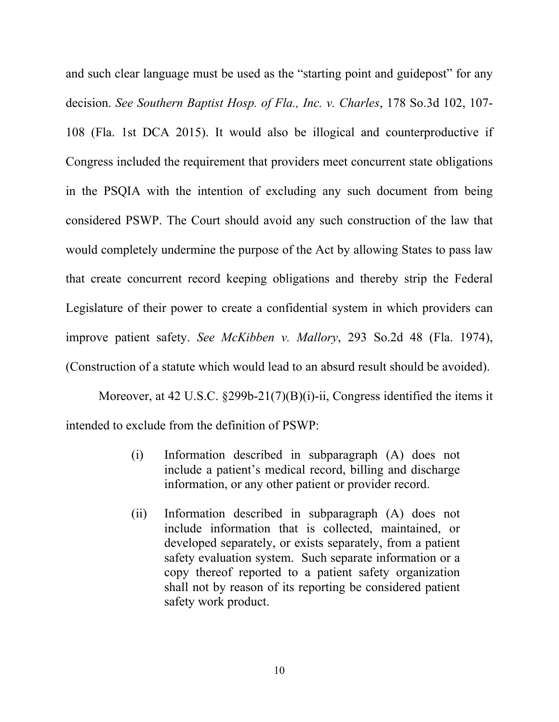and such clear language must be used as the "starting point and guidepost" for any decision. *See Southern Baptist Hosp. of Fla., Inc. v. Charles*, 178 So.3d 102, 107- 108 (Fla. 1st DCA 2015). It would also be illogical and counterproductive if Congress included the requirement that providers meet concurrent state obligations in the PSQIA with the intention of excluding any such document from being considered PSWP. The Court should avoid any such construction of the law that would completely undermine the purpose of the Act by allowing States to pass law that create concurrent record keeping obligations and thereby strip the Federal Legislature of their power to create a confidential system in which providers can improve patient safety. *See McKibben v. Mallory*, 293 So.2d 48 (Fla. 1974), (Construction of a statute which would lead to an absurd result should be avoided).

Moreover, at 42 U.S.C. §299b-21(7)(B)(i)-ii, Congress identified the items it intended to exclude from the definition of PSWP:

- (i) Information described in subparagraph (A) does not include a patient's medical record, billing and discharge information, or any other patient or provider record.
- (ii) Information described in subparagraph (A) does not include information that is collected, maintained, or developed separately, or exists separately, from a patient safety evaluation system. Such separate information or a copy thereof reported to a patient safety organization shall not by reason of its reporting be considered patient safety work product.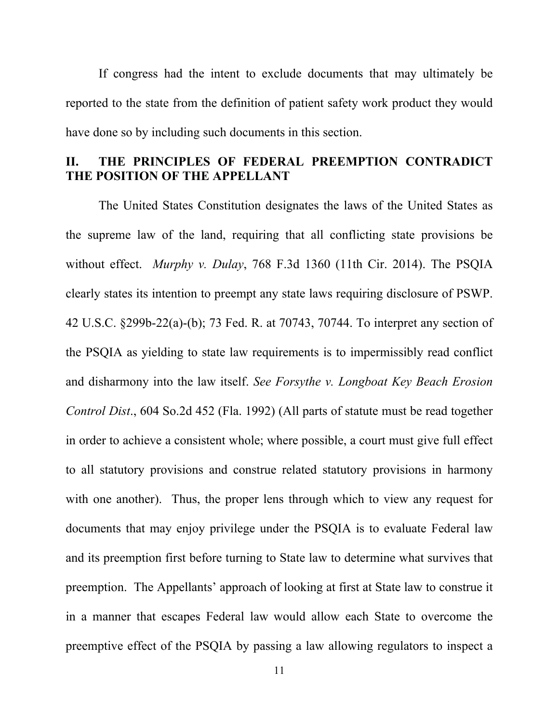If congress had the intent to exclude documents that may ultimately be reported to the state from the definition of patient safety work product they would have done so by including such documents in this section.

## **II. THE PRINCIPLES OF FEDERAL PREEMPTION CONTRADICT THE POSITION OF THE APPELLANT**

The United States Constitution designates the laws of the United States as the supreme law of the land, requiring that all conflicting state provisions be without effect. *Murphy v. Dulay*, 768 F.3d 1360 (11th Cir. 2014). The PSQIA clearly states its intention to preempt any state laws requiring disclosure of PSWP. 42 U.S.C. §299b-22(a)-(b); 73 Fed. R. at 70743, 70744. To interpret any section of the PSQIA as yielding to state law requirements is to impermissibly read conflict and disharmony into the law itself. *See Forsythe v. Longboat Key Beach Erosion Control Dist*., 604 So.2d 452 (Fla. 1992) (All parts of statute must be read together in order to achieve a consistent whole; where possible, a court must give full effect to all statutory provisions and construe related statutory provisions in harmony with one another). Thus, the proper lens through which to view any request for documents that may enjoy privilege under the PSQIA is to evaluate Federal law and its preemption first before turning to State law to determine what survives that preemption. The Appellants' approach of looking at first at State law to construe it in a manner that escapes Federal law would allow each State to overcome the preemptive effect of the PSQIA by passing a law allowing regulators to inspect a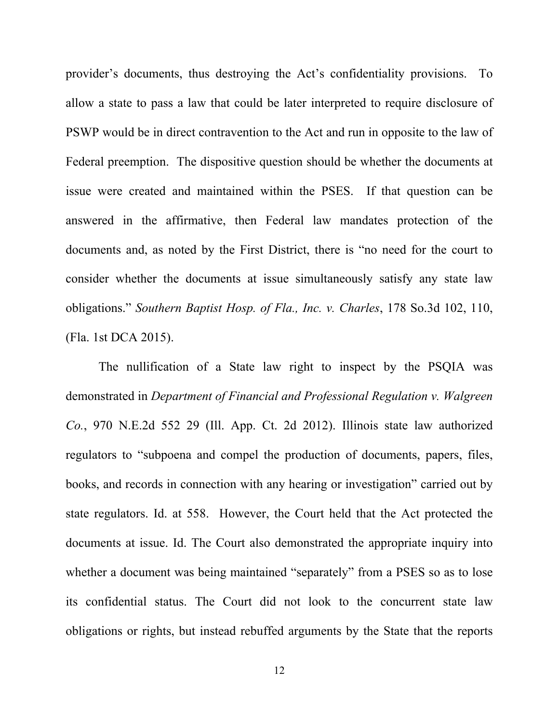provider's documents, thus destroying the Act's confidentiality provisions. To allow a state to pass a law that could be later interpreted to require disclosure of PSWP would be in direct contravention to the Act and run in opposite to the law of Federal preemption. The dispositive question should be whether the documents at issue were created and maintained within the PSES. If that question can be answered in the affirmative, then Federal law mandates protection of the documents and, as noted by the First District, there is "no need for the court to consider whether the documents at issue simultaneously satisfy any state law obligations." *Southern Baptist Hosp. of Fla., Inc. v. Charles*, 178 So.3d 102, 110, (Fla. 1st DCA 2015).

The nullification of a State law right to inspect by the PSQIA was demonstrated in *Department of Financial and Professional Regulation v. Walgreen Co.*, 970 N.E.2d 552 29 (Ill. App. Ct. 2d 2012). Illinois state law authorized regulators to "subpoena and compel the production of documents, papers, files, books, and records in connection with any hearing or investigation" carried out by state regulators. Id. at 558. However, the Court held that the Act protected the documents at issue. Id. The Court also demonstrated the appropriate inquiry into whether a document was being maintained "separately" from a PSES so as to lose its confidential status. The Court did not look to the concurrent state law obligations or rights, but instead rebuffed arguments by the State that the reports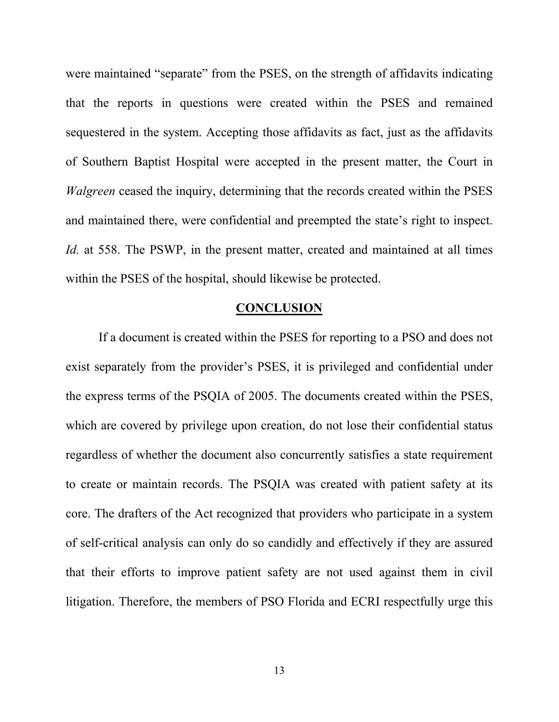were maintained "separate" from the PSES, on the strength of affidavits indicating that the reports in questions were created within the PSES and remained sequestered in the system. Accepting those affidavits as fact, just as the affidavits of Southern Baptist Hospital were accepted in the present matter, the Court in *Walgreen* ceased the inquiry, determining that the records created within the PSES and maintained there, were confidential and preempted the state's right to inspect. *Id.* at 558. The PSWP, in the present matter, created and maintained at all times within the PSES of the hospital, should likewise be protected.

#### **CONCLUSION**

If a document is created within the PSES for reporting to a PSO and does not exist separately from the provider's PSES, it is privileged and confidential under the express terms of the PSQIA of 2005. The documents created within the PSES, which are covered by privilege upon creation, do not lose their confidential status regardless of whether the document also concurrently satisfies a state requirement to create or maintain records. The PSQIA was created with patient safety at its core. The drafters of the Act recognized that providers who participate in a system of self-critical analysis can only do so candidly and effectively if they are assured that their efforts to improve patient safety are not used against them in civil litigation. Therefore, the members of PSO Florida and ECRI respectfully urge this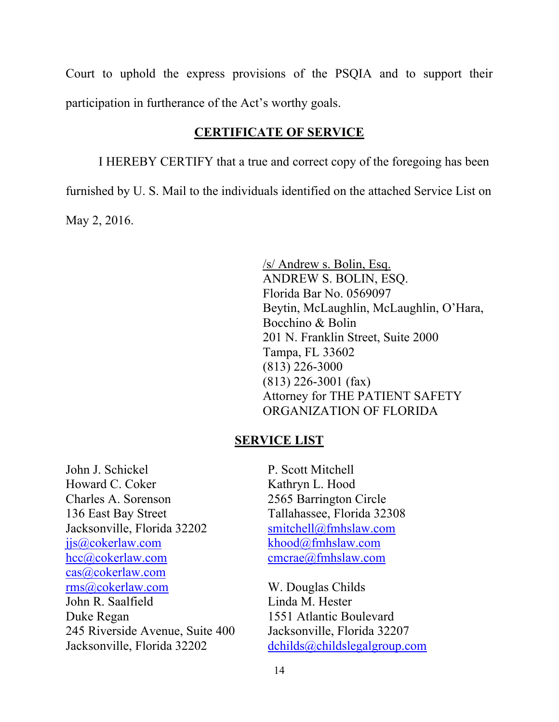Court to uphold the express provisions of the PSQIA and to support their participation in furtherance of the Act's worthy goals.

### **CERTIFICATE OF SERVICE**

I HEREBY CERTIFY that a true and correct copy of the foregoing has been furnished by U. S. Mail to the individuals identified on the attached Service List on May 2, 2016.

> /s/ Andrew s. Bolin, Esq. ANDREW S. BOLIN, ESQ. Florida Bar No. 0569097 Beytin, McLaughlin, McLaughlin, O'Hara, Bocchino & Bolin 201 N. Franklin Street, Suite 2000 Tampa, FL 33602 (813) 226-3000 (813) 226-3001 (fax) Attorney for THE PATIENT SAFETY ORGANIZATION OF FLORIDA

#### **SERVICE LIST**

John J. Schickel Howard C. Coker Charles A. Sorenson 136 East Bay Street Jacksonville, Florida 32202 iis@cokerlaw.com [hcc@cokerlaw.com](mailto:hcc@cokerlaw.com) [cas@cokerlaw.com](mailto:cas@cokerlaw.com) [rms@cokerlaw.com](mailto:rms@cokerlaw.com) John R. Saalfield Duke Regan 245 Riverside Avenue, Suite 400 Jacksonville, Florida 32202

P. Scott Mitchell Kathryn L. Hood 2565 Barrington Circle Tallahassee, Florida 32308 [smitchell@fmhslaw.com](mailto:smitchell@fmhslaw.com) [khood@fmhslaw.com](mailto:khood@fmhslaw.com) [cmcrae@fmhslaw.com](mailto:cmcrae@fmhslaw.com)

W. Douglas Childs Linda M. Hester 1551 Atlantic Boulevard Jacksonville, Florida 32207 [dchilds@childslegalgroup.com](mailto:dchilds@childslegalgroup.com)